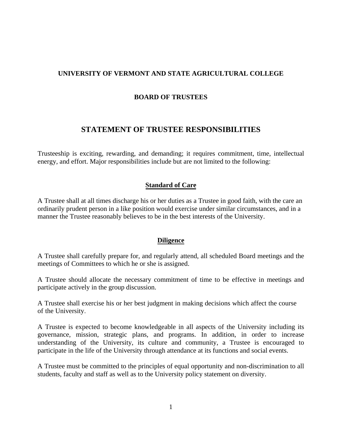# **UNIVERSITY OF VERMONT AND STATE AGRICULTURAL COLLEGE**

### **BOARD OF TRUSTEES**

# **STATEMENT OF TRUSTEE RESPONSIBILITIES**

Trusteeship is exciting, rewarding, and demanding; it requires commitment, time, intellectual energy, and effort. Major responsibilities include but are not limited to the following:

#### **Standard of Care**

A Trustee shall at all times discharge his or her duties as a Trustee in good faith, with the care an ordinarily prudent person in a like position would exercise under similar circumstances, and in a manner the Trustee reasonably believes to be in the best interests of the University.

#### **Diligence**

A Trustee shall carefully prepare for, and regularly attend, all scheduled Board meetings and the meetings of Committees to which he or she is assigned.

A Trustee should allocate the necessary commitment of time to be effective in meetings and participate actively in the group discussion.

A Trustee shall exercise his or her best judgment in making decisions which affect the course of the University.

A Trustee is expected to become knowledgeable in all aspects of the University including its governance, mission, strategic plans, and programs. In addition, in order to increase understanding of the University, its culture and community, a Trustee is encouraged to participate in the life of the University through attendance at its functions and social events.

A Trustee must be committed to the principles of equal opportunity and non-discrimination to all students, faculty and staff as well as to the University policy statement on diversity.